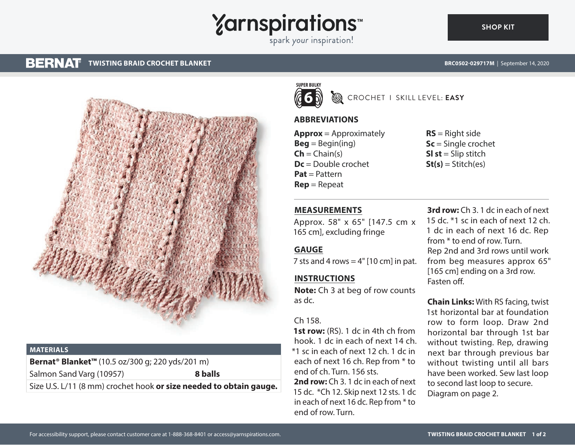# **Yarnspirations**

spark your inspiration!

#### **BERNAT TWISTING BRAID CROCHET BLANKET BROOF CONSUMING BROOF BROOF BROOF BROOF BROOF BROOF BROOF BROOF BROOF BROOF BROOF BROOF BROOF BROOF BROOF BROOF BROOF BROOF BROOF BROOF BROOF BROOF BROOF BROOF BROOF BROOF BROOF BROOF BROO**

**[SHOP KIT](https://www.yarnspirations.com/BRC0502-029717M.html#utm_source=pdf-yarnspirations&utm_medium=referral)**



#### **MATERIALS**

**Bernat® Blanket™** (10.5 oz/300 g; 220 yds/201 m) Salmon Sand Varg (10957) **8 balls** Size U.S. L/11 (8 mm) crochet hook **or size needed to obtain gauge.** **SUPER BULKY 6**

CROCHET I SKILL LEVEL: **EASY**

## **ABBREVIATIONS**

**Approx** = Approximately  $Beq = Beqin(inq)$  $\mathsf{Ch} = \mathsf{Chain}(s)$ **Dc** = Double crochet **Pat** = Pattern **Rep** = Repeat

**RS** = Right side **Sc** = Single crochet **Sl st** = Slip stitch **St(s)** = Stitch(es)

# **MEASUREMENTS**

Approx. 58" x 65" [147.5 cm x 165 cm], excluding fringe

### **GAUGE**

7 sts and 4 rows  $= 4"$  [10 cm] in pat.

## **INSTRUCTIONS**

**Note:** Ch 3 at beg of row counts as dc.

### Ch 158.

**1st row:** (RS). 1 dc in 4th ch from hook. 1 dc in each of next 14 ch. \*1 sc in each of next 12 ch. 1 dc in each of next 16 ch. Rep from \* to end of ch. Turn. 156 sts. **2nd row:** Ch 3. 1 dc in each of next 15 dc. \*Ch 12. Skip next 12 sts. 1 dc in each of next 16 dc. Rep from \* to end of row. Turn.

**3rd row:** Ch 3. 1 dc in each of next 15 dc. \*1 sc in each of next 12 ch. 1 dc in each of next 16 dc. Rep from \* to end of row. Turn. Rep 2nd and 3rd rows until work from beg measures approx 65" [165 cm] ending on a 3rd row. Fasten off

**Chain Links:** With RS facing, twist 1st horizontal bar at foundation row to form loop. Draw 2nd horizontal bar through 1st bar without twisting. Rep, drawing next bar through previous bar without twisting until all bars have been worked. Sew last loop to second last loop to secure. Diagram on page 2.